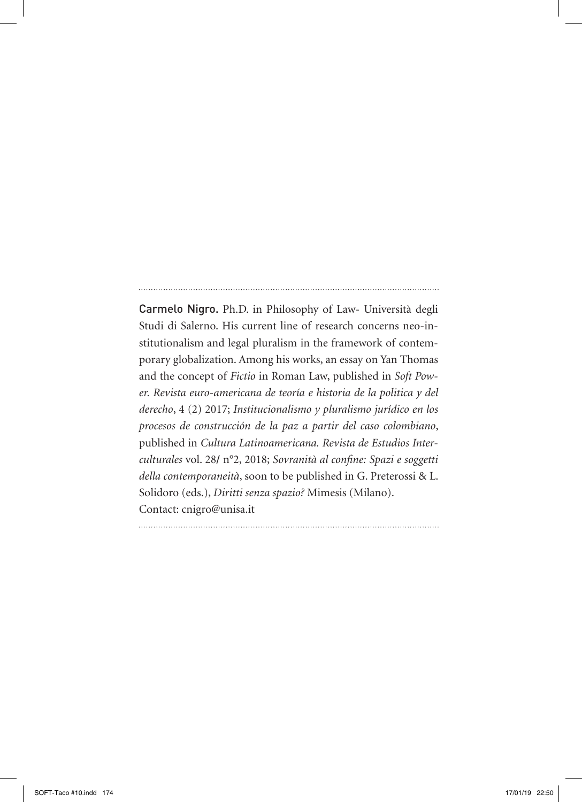Carmelo Nigro. Ph.D. in Philosophy of Law- Università degli Studi di Salerno. His current line of research concerns neo-institutionalism and legal pluralism in the framework of contemporary globalization. Among his works, an essay on Yan Thomas and the concept of *Fictio* in Roman Law, published in *Soft Power. Revista euro-americana de teoría e historia de la politica y del derecho*, 4 (2) 2017; *Institucionalismo y pluralismo jurídico en los procesos de construcción de la paz a partir del caso colombiano*, published in *Cultura Latinoamericana. Revista de Estudios Interculturales* vol. 28**/** n°2, 2018; *Sovranità al confine: Spazi e soggetti della contemporaneità*, soon to be published in G. Preterossi & L. Solidoro (eds.), *Diritti senza spazio?* Mimesis (Milano). Contact: cnigro@unisa.it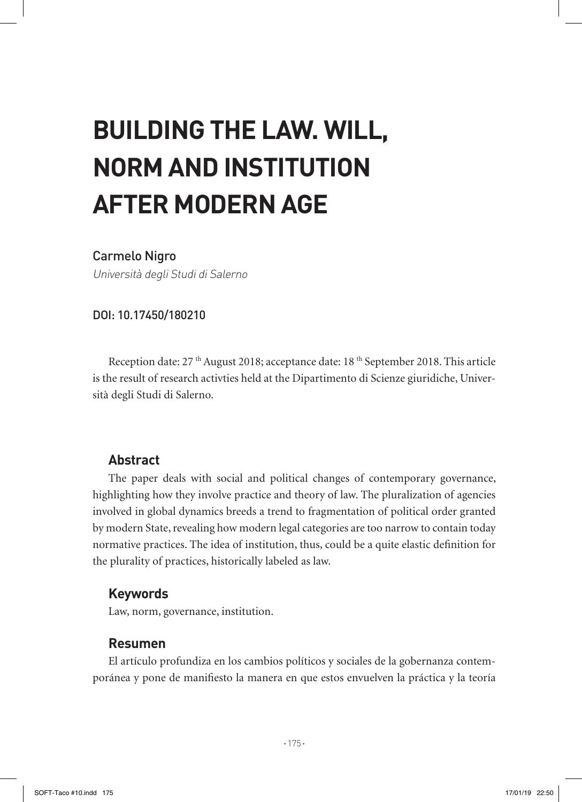# **BUILDING THE LAW. WILL, NORM AND INSTITUTION AFTER MODERN AGE**

### Carmelo Nigro

Università degli Studi di Salerno

#### DOI: 10.17450/180210

Reception date: 27<sup>th</sup> August 2018; acceptance date: 18<sup>th</sup> September 2018. This article is the result of research activties held at the Dipartimento di Scienze giuridiche, Università degli Studi di Salerno.

### **Abstract**

The paper deals with social and political changes of contemporary governance, highlighting how they involve practice and theory of law. The pluralization of agencies involved in global dynamics breeds a trend to fragmentation of political order granted by modern State, revealing how modern legal categories are too narrow to contain today normative practices. The idea of institution, thus, could be a quite elastic definition for the plurality of practices, historically labeled as law.

### **Keywords**

Law, norm, governance, institution.

### **Resumen**

El artículo profundiza en los cambios políticos y sociales de la gobernanza contemporánea y pone de manifiesto la manera en que estos envuelven la práctica y la teoría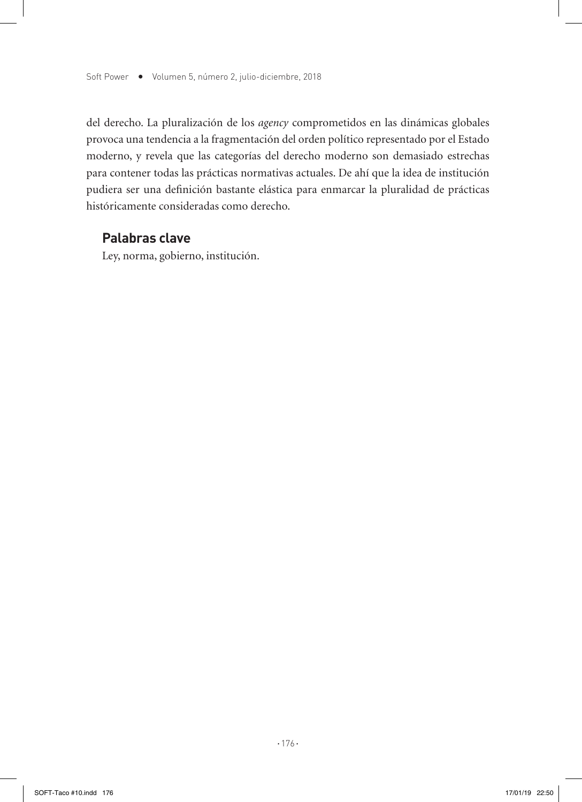del derecho. La pluralización de los *agency* comprometidos en las dinámicas globales provoca una tendencia a la fragmentación del orden político representado por el Estado moderno, y revela que las categorías del derecho moderno son demasiado estrechas para contener todas las prácticas normativas actuales. De ahí que la idea de institución pudiera ser una definición bastante elástica para enmarcar la pluralidad de prácticas históricamente consideradas como derecho.

## **Palabras clave**

Ley, norma, gobierno, institución.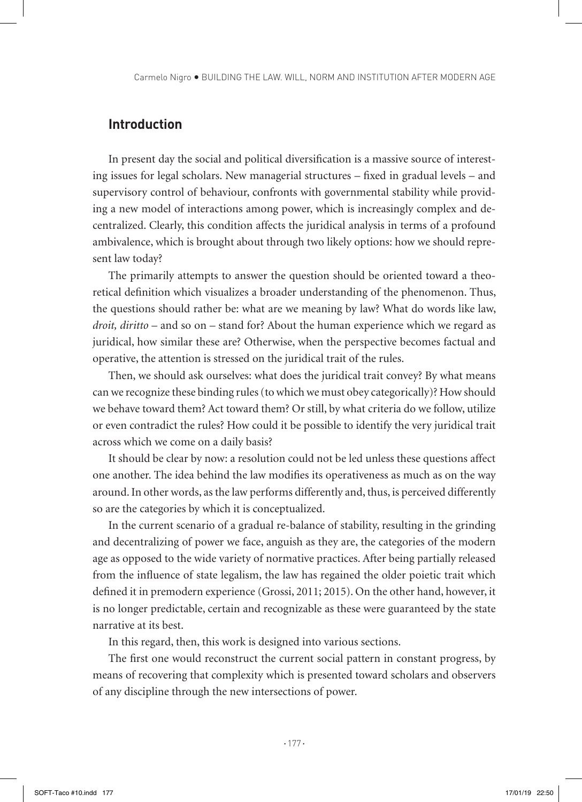# **Introduction**

In present day the social and political diversification is a massive source of interesting issues for legal scholars. New managerial structures – fixed in gradual levels – and supervisory control of behaviour, confronts with governmental stability while providing a new model of interactions among power, which is increasingly complex and decentralized. Clearly, this condition affects the juridical analysis in terms of a profound ambivalence, which is brought about through two likely options: how we should represent law today?

The primarily attempts to answer the question should be oriented toward a theoretical definition which visualizes a broader understanding of the phenomenon. Thus, the questions should rather be: what are we meaning by law? What do words like law, *droit, diritto* – and so on – stand for? About the human experience which we regard as juridical, how similar these are? Otherwise, when the perspective becomes factual and operative, the attention is stressed on the juridical trait of the rules.

Then, we should ask ourselves: what does the juridical trait convey? By what means can we recognize these binding rules (to which we must obey categorically)? How should we behave toward them? Act toward them? Or still, by what criteria do we follow, utilize or even contradict the rules? How could it be possible to identify the very juridical trait across which we come on a daily basis?

It should be clear by now: a resolution could not be led unless these questions affect one another. The idea behind the law modifies its operativeness as much as on the way around. In other words, as the law performs differently and, thus, is perceived differently so are the categories by which it is conceptualized.

In the current scenario of a gradual re-balance of stability, resulting in the grinding and decentralizing of power we face, anguish as they are, the categories of the modern age as opposed to the wide variety of normative practices. After being partially released from the influence of state legalism, the law has regained the older poietic trait which defined it in premodern experience (Grossi, 2011; 2015). On the other hand, however, it is no longer predictable, certain and recognizable as these were guaranteed by the state narrative at its best.

In this regard, then, this work is designed into various sections.

The first one would reconstruct the current social pattern in constant progress, by means of recovering that complexity which is presented toward scholars and observers of any discipline through the new intersections of power.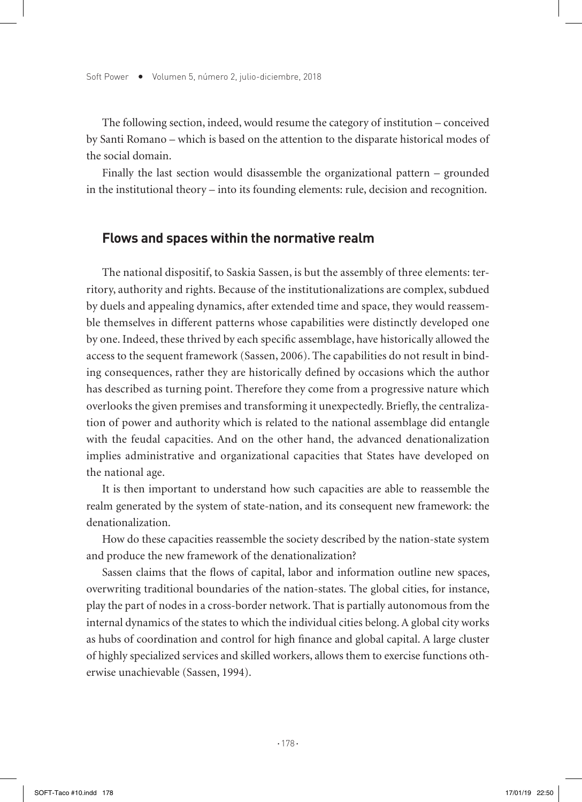The following section, indeed, would resume the category of institution – conceived by Santi Romano – which is based on the attention to the disparate historical modes of the social domain.

Finally the last section would disassemble the organizational pattern – grounded in the institutional theory – into its founding elements: rule, decision and recognition.

#### **Flows and spaces within the normative realm**

The national dispositif, to Saskia Sassen, is but the assembly of three elements: territory, authority and rights. Because of the institutionalizations are complex, subdued by duels and appealing dynamics, after extended time and space, they would reassemble themselves in different patterns whose capabilities were distinctly developed one by one. Indeed, these thrived by each specific assemblage, have historically allowed the access to the sequent framework (Sassen, 2006). The capabilities do not result in binding consequences, rather they are historically defined by occasions which the author has described as turning point. Therefore they come from a progressive nature which overlooks the given premises and transforming it unexpectedly. Briefly, the centralization of power and authority which is related to the national assemblage did entangle with the feudal capacities. And on the other hand, the advanced denationalization implies administrative and organizational capacities that States have developed on the national age.

It is then important to understand how such capacities are able to reassemble the realm generated by the system of state-nation, and its consequent new framework: the denationalization.

How do these capacities reassemble the society described by the nation-state system and produce the new framework of the denationalization?

Sassen claims that the flows of capital, labor and information outline new spaces, overwriting traditional boundaries of the nation-states. The global cities, for instance, play the part of nodes in a cross-border network. That is partially autonomous from the internal dynamics of the states to which the individual cities belong. A global city works as hubs of coordination and control for high finance and global capital. A large cluster of highly specialized services and skilled workers, allows them to exercise functions otherwise unachievable (Sassen, 1994).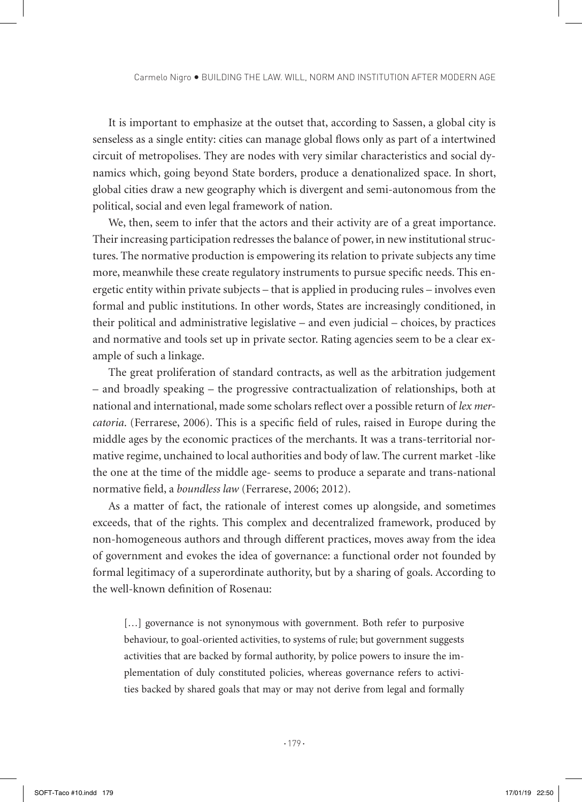It is important to emphasize at the outset that, according to Sassen, a global city is senseless as a single entity: cities can manage global flows only as part of a intertwined circuit of metropolises. They are nodes with very similar characteristics and social dynamics which, going beyond State borders, produce a denationalized space. In short, global cities draw a new geography which is divergent and semi-autonomous from the political, social and even legal framework of nation.

We, then, seem to infer that the actors and their activity are of a great importance. Their increasing participation redresses the balance of power, in new institutional structures. The normative production is empowering its relation to private subjects any time more, meanwhile these create regulatory instruments to pursue specific needs. This energetic entity within private subjects – that is applied in producing rules – involves even formal and public institutions. In other words, States are increasingly conditioned, in their political and administrative legislative – and even judicial – choices, by practices and normative and tools set up in private sector. Rating agencies seem to be a clear example of such a linkage.

The great proliferation of standard contracts, as well as the arbitration judgement – and broadly speaking – the progressive contractualization of relationships, both at national and international, made some scholars reflect over a possible return of *lex mercatoria*. (Ferrarese, 2006). This is a specific field of rules, raised in Europe during the middle ages by the economic practices of the merchants. It was a trans-territorial normative regime, unchained to local authorities and body of law. The current market -like the one at the time of the middle age- seems to produce a separate and trans-national normative field, a *boundless law* (Ferrarese, 2006; 2012).

As a matter of fact, the rationale of interest comes up alongside, and sometimes exceeds, that of the rights. This complex and decentralized framework, produced by non-homogeneous authors and through different practices, moves away from the idea of government and evokes the idea of governance: a functional order not founded by formal legitimacy of a superordinate authority, but by a sharing of goals. According to the well-known definition of Rosenau:

[...] governance is not synonymous with government. Both refer to purposive behaviour, to goal-oriented activities, to systems of rule; but government suggests activities that are backed by formal authority, by police powers to insure the implementation of duly constituted policies, whereas governance refers to activities backed by shared goals that may or may not derive from legal and formally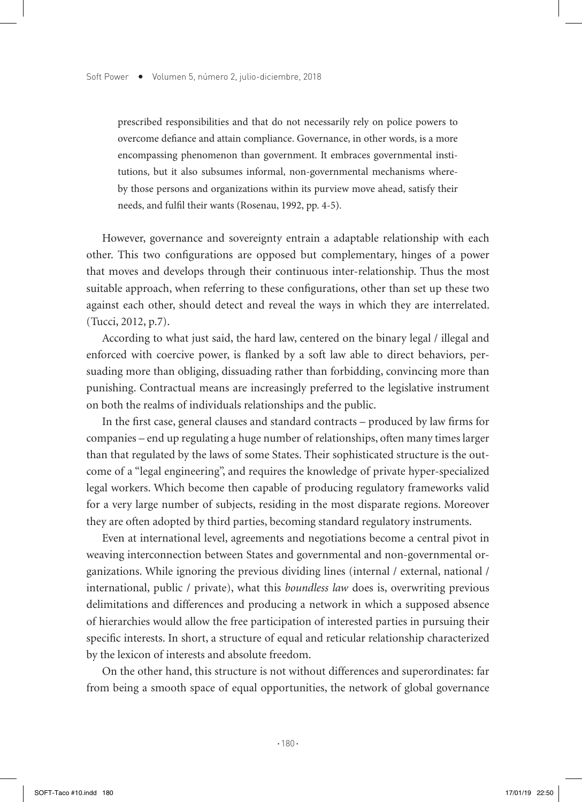prescribed responsibilities and that do not necessarily rely on police powers to overcome defiance and attain compliance. Governance, in other words, is a more encompassing phenomenon than government. It embraces governmental institutions, but it also subsumes informal, non-governmental mechanisms whereby those persons and organizations within its purview move ahead, satisfy their needs, and fulfil their wants (Rosenau, 1992, pp. 4-5).

However, governance and sovereignty entrain a adaptable relationship with each other. This two configurations are opposed but complementary, hinges of a power that moves and develops through their continuous inter-relationship. Thus the most suitable approach, when referring to these configurations, other than set up these two against each other, should detect and reveal the ways in which they are interrelated. (Tucci, 2012, p.7).

According to what just said, the hard law, centered on the binary legal / illegal and enforced with coercive power, is flanked by a soft law able to direct behaviors, persuading more than obliging, dissuading rather than forbidding, convincing more than punishing. Contractual means are increasingly preferred to the legislative instrument on both the realms of individuals relationships and the public.

In the first case, general clauses and standard contracts – produced by law firms for companies – end up regulating a huge number of relationships, often many times larger than that regulated by the laws of some States. Their sophisticated structure is the outcome of a "legal engineering", and requires the knowledge of private hyper-specialized legal workers. Which become then capable of producing regulatory frameworks valid for a very large number of subjects, residing in the most disparate regions. Moreover they are often adopted by third parties, becoming standard regulatory instruments.

Even at international level, agreements and negotiations become a central pivot in weaving interconnection between States and governmental and non-governmental organizations. While ignoring the previous dividing lines (internal / external, national / international, public / private), what this *boundless law* does is, overwriting previous delimitations and differences and producing a network in which a supposed absence of hierarchies would allow the free participation of interested parties in pursuing their specific interests. In short, a structure of equal and reticular relationship characterized by the lexicon of interests and absolute freedom.

On the other hand, this structure is not without differences and superordinates: far from being a smooth space of equal opportunities, the network of global governance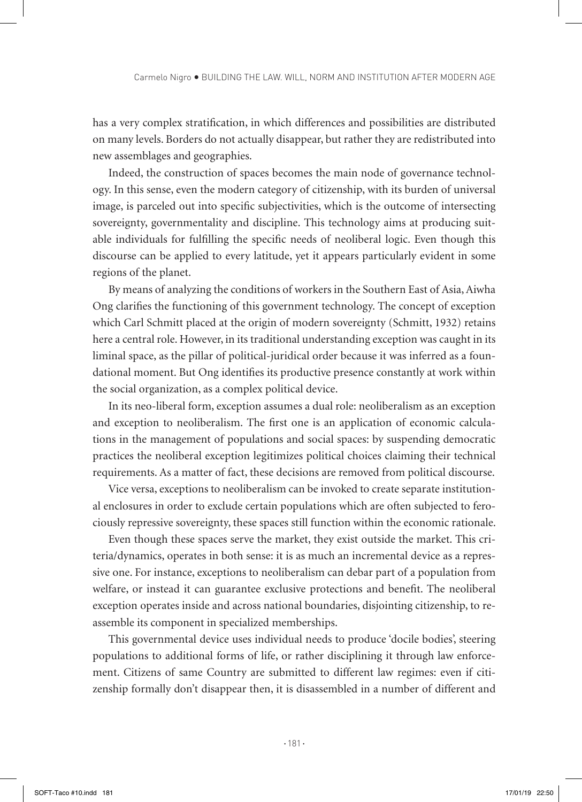has a very complex stratification, in which differences and possibilities are distributed on many levels. Borders do not actually disappear, but rather they are redistributed into new assemblages and geographies.

Indeed, the construction of spaces becomes the main node of governance technology. In this sense, even the modern category of citizenship, with its burden of universal image, is parceled out into specific subjectivities, which is the outcome of intersecting sovereignty, governmentality and discipline. This technology aims at producing suitable individuals for fulfilling the specific needs of neoliberal logic. Even though this discourse can be applied to every latitude, yet it appears particularly evident in some regions of the planet.

By means of analyzing the conditions of workers in the Southern East of Asia, Aiwha Ong clarifies the functioning of this government technology. The concept of exception which Carl Schmitt placed at the origin of modern sovereignty (Schmitt, 1932) retains here a central role. However, in its traditional understanding exception was caught in its liminal space, as the pillar of political-juridical order because it was inferred as a foundational moment. But Ong identifies its productive presence constantly at work within the social organization, as a complex political device.

In its neo-liberal form, exception assumes a dual role: neoliberalism as an exception and exception to neoliberalism. The first one is an application of economic calculations in the management of populations and social spaces: by suspending democratic practices the neoliberal exception legitimizes political choices claiming their technical requirements. As a matter of fact, these decisions are removed from political discourse.

Vice versa, exceptions to neoliberalism can be invoked to create separate institutional enclosures in order to exclude certain populations which are often subjected to ferociously repressive sovereignty, these spaces still function within the economic rationale.

Even though these spaces serve the market, they exist outside the market. This criteria/dynamics, operates in both sense: it is as much an incremental device as a repressive one. For instance, exceptions to neoliberalism can debar part of a population from welfare, or instead it can guarantee exclusive protections and benefit. The neoliberal exception operates inside and across national boundaries, disjointing citizenship, to reassemble its component in specialized memberships.

This governmental device uses individual needs to produce 'docile bodies', steering populations to additional forms of life, or rather disciplining it through law enforcement. Citizens of same Country are submitted to different law regimes: even if citizenship formally don't disappear then, it is disassembled in a number of different and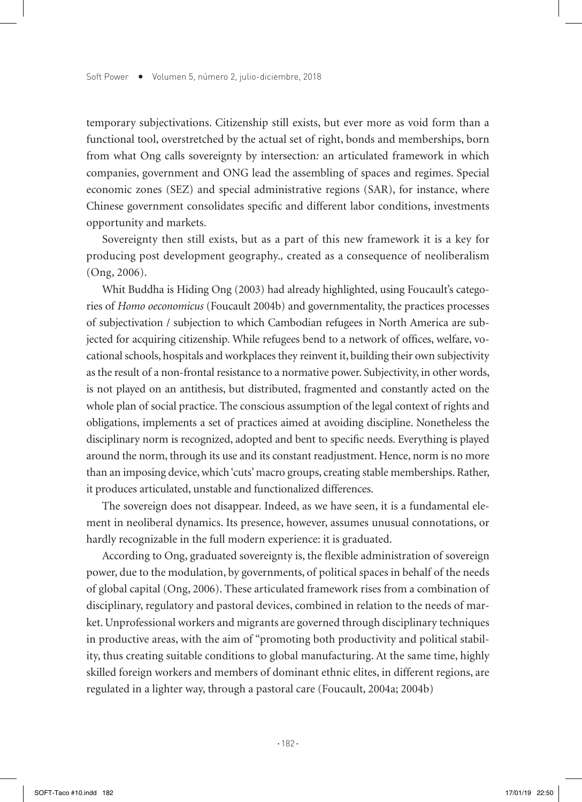temporary subjectivations. Citizenship still exists, but ever more as void form than a functional tool, overstretched by the actual set of right, bonds and memberships, born from what Ong calls sovereignty by intersection*:* an articulated framework in which companies, government and ONG lead the assembling of spaces and regimes. Special economic zones (SEZ) and special administrative regions (SAR), for instance, where Chinese government consolidates specific and different labor conditions, investments opportunity and markets.

Sovereignty then still exists, but as a part of this new framework it is a key for producing post development geography.*,* created as a consequence of neoliberalism (Ong, 2006).

Whit Buddha is Hiding Ong (2003) had already highlighted, using Foucault's categories of *Homo oeconomicus* (Foucault 2004b) and governmentality, the practices processes of subjectivation / subjection to which Cambodian refugees in North America are subjected for acquiring citizenship. While refugees bend to a network of offices, welfare, vocational schools, hospitals and workplaces they reinvent it, building their own subjectivity as the result of a non-frontal resistance to a normative power. Subjectivity, in other words, is not played on an antithesis, but distributed, fragmented and constantly acted on the whole plan of social practice. The conscious assumption of the legal context of rights and obligations, implements a set of practices aimed at avoiding discipline. Nonetheless the disciplinary norm is recognized, adopted and bent to specific needs. Everything is played around the norm, through its use and its constant readjustment. Hence, norm is no more than an imposing device, which 'cuts' macro groups, creating stable memberships. Rather, it produces articulated, unstable and functionalized differences.

The sovereign does not disappear. Indeed, as we have seen, it is a fundamental element in neoliberal dynamics. Its presence, however, assumes unusual connotations, or hardly recognizable in the full modern experience: it is graduated.

According to Ong, graduated sovereignty is, the flexible administration of sovereign power, due to the modulation, by governments, of political spaces in behalf of the needs of global capital (Ong, 2006). These articulated framework rises from a combination of disciplinary, regulatory and pastoral devices, combined in relation to the needs of market. Unprofessional workers and migrants are governed through disciplinary techniques in productive areas, with the aim of "promoting both productivity and political stability, thus creating suitable conditions to global manufacturing. At the same time, highly skilled foreign workers and members of dominant ethnic elites, in different regions, are regulated in a lighter way, through a pastoral care (Foucault, 2004a; 2004b)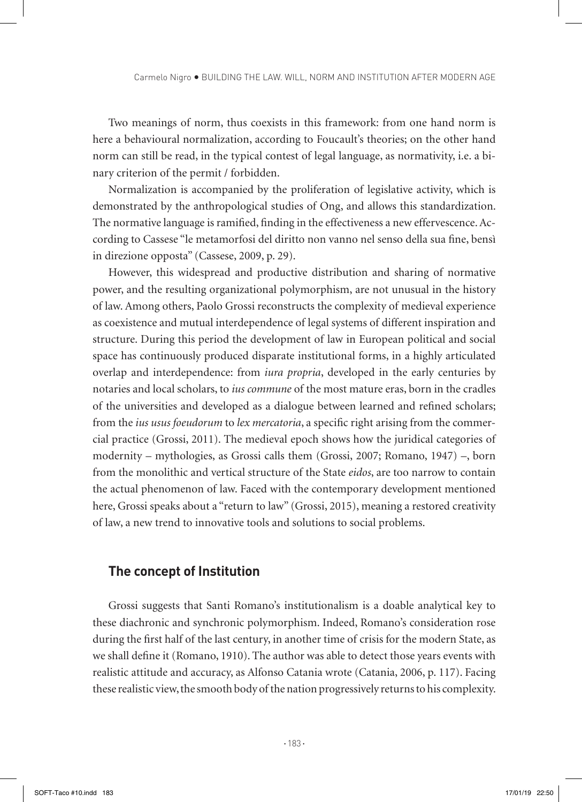Two meanings of norm, thus coexists in this framework: from one hand norm is here a behavioural normalization, according to Foucault's theories; on the other hand norm can still be read, in the typical contest of legal language, as normativity, i.e. a binary criterion of the permit / forbidden.

Normalization is accompanied by the proliferation of legislative activity, which is demonstrated by the anthropological studies of Ong, and allows this standardization. The normative language is ramified, finding in the effectiveness a new effervescence. According to Cassese "le metamorfosi del diritto non vanno nel senso della sua fine, bensì in direzione opposta" (Cassese, 2009, p. 29).

However, this widespread and productive distribution and sharing of normative power, and the resulting organizational polymorphism, are not unusual in the history of law. Among others, Paolo Grossi reconstructs the complexity of medieval experience as coexistence and mutual interdependence of legal systems of different inspiration and structure. During this period the development of law in European political and social space has continuously produced disparate institutional forms, in a highly articulated overlap and interdependence: from *iura propria*, developed in the early centuries by notaries and local scholars, to *ius commune* of the most mature eras, born in the cradles of the universities and developed as a dialogue between learned and refined scholars; from the *ius usus foeudorum* to *lex mercatoria*, a specific right arising from the commercial practice (Grossi, 2011). The medieval epoch shows how the juridical categories of modernity – mythologies, as Grossi calls them (Grossi, 2007; Romano, 1947) –, born from the monolithic and vertical structure of the State *eidos*, are too narrow to contain the actual phenomenon of law. Faced with the contemporary development mentioned here, Grossi speaks about a "return to law" (Grossi, 2015), meaning a restored creativity of law, a new trend to innovative tools and solutions to social problems.

#### **The concept of Institution**

Grossi suggests that Santi Romano's institutionalism is a doable analytical key to these diachronic and synchronic polymorphism. Indeed, Romano's consideration rose during the first half of the last century, in another time of crisis for the modern State, as we shall define it (Romano, 1910). The author was able to detect those years events with realistic attitude and accuracy, as Alfonso Catania wrote (Catania, 2006, p. 117). Facing these realistic view, the smooth body of the nation progressively returns to his complexity.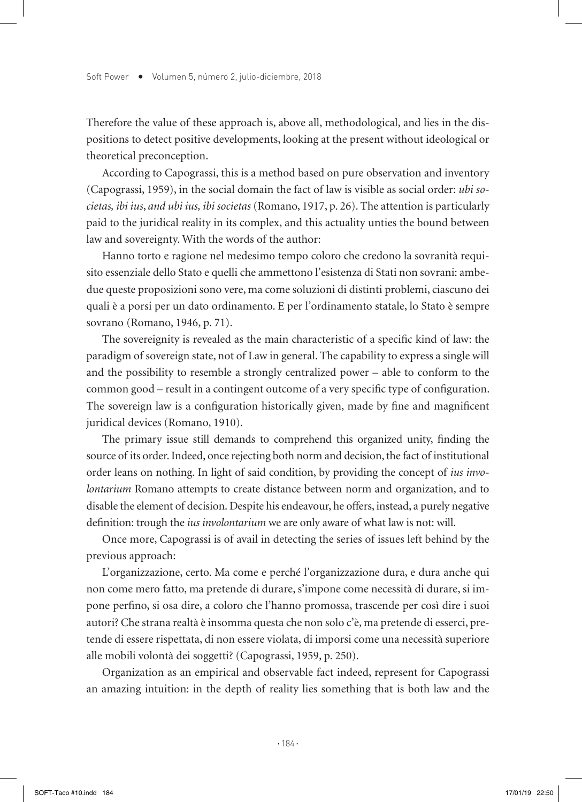Therefore the value of these approach is, above all, methodological, and lies in the dispositions to detect positive developments, looking at the present without ideological or theoretical preconception.

According to Capograssi, this is a method based on pure observation and inventory (Capograssi, 1959), in the social domain the fact of law is visible as social order: *ubi societas, ibi ius*, *and ubi ius, ibi societas* (Romano, 1917, p. 26). The attention is particularly paid to the juridical reality in its complex, and this actuality unties the bound between law and sovereignty. With the words of the author:

Hanno torto e ragione nel medesimo tempo coloro che credono la sovranità requisito essenziale dello Stato e quelli che ammettono l'esistenza di Stati non sovrani: ambedue queste proposizioni sono vere, ma come soluzioni di distinti problemi, ciascuno dei quali è a porsi per un dato ordinamento. E per l'ordinamento statale, lo Stato è sempre sovrano (Romano, 1946, p. 71).

The sovereignity is revealed as the main characteristic of a specific kind of law: the paradigm of sovereign state, not of Law in general. The capability to express a single will and the possibility to resemble a strongly centralized power – able to conform to the common good – result in a contingent outcome of a very specific type of configuration. The sovereign law is a configuration historically given, made by fine and magnificent juridical devices (Romano, 1910).

The primary issue still demands to comprehend this organized unity, finding the source of its order. Indeed, once rejecting both norm and decision, the fact of institutional order leans on nothing. In light of said condition, by providing the concept of *ius involontarium* Romano attempts to create distance between norm and organization, and to disable the element of decision. Despite his endeavour, he offers, instead, a purely negative definition: trough the *ius involontarium* we are only aware of what law is not: will.

Once more, Capograssi is of avail in detecting the series of issues left behind by the previous approach:

L'organizzazione, certo. Ma come e perché l'organizzazione dura, e dura anche qui non come mero fatto, ma pretende di durare, s'impone come necessità di durare, si impone perfino, si osa dire, a coloro che l'hanno promossa, trascende per così dire i suoi autori? Che strana realtà è insomma questa che non solo c'è, ma pretende di esserci, pretende di essere rispettata, di non essere violata, di imporsi come una necessità superiore alle mobili volontà dei soggetti? (Capograssi, 1959, p. 250).

Organization as an empirical and observable fact indeed, represent for Capograssi an amazing intuition: in the depth of reality lies something that is both law and the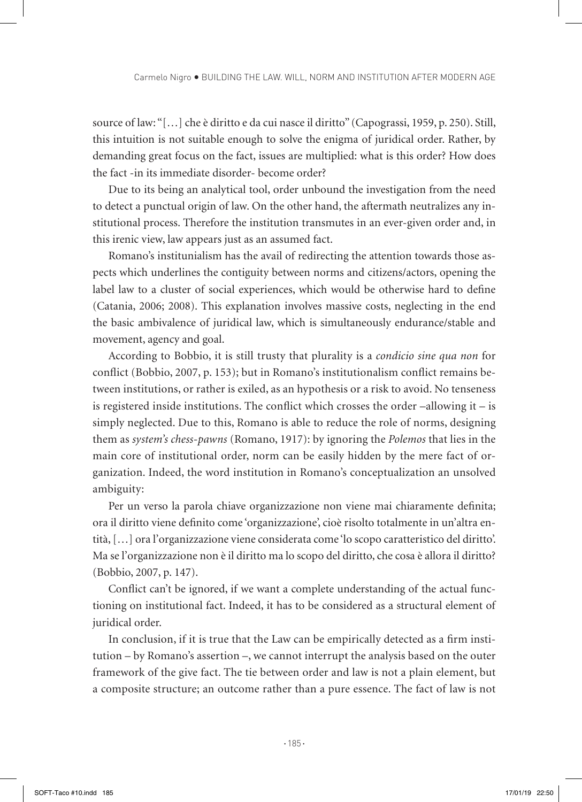source of law: "[…] che è diritto e da cui nasce il diritto" (Capograssi, 1959, p. 250). Still, this intuition is not suitable enough to solve the enigma of juridical order. Rather, by demanding great focus on the fact, issues are multiplied: what is this order? How does the fact -in its immediate disorder- become order?

Due to its being an analytical tool, order unbound the investigation from the need to detect a punctual origin of law. On the other hand, the aftermath neutralizes any institutional process. Therefore the institution transmutes in an ever-given order and, in this irenic view, law appears just as an assumed fact.

Romano's institunialism has the avail of redirecting the attention towards those aspects which underlines the contiguity between norms and citizens/actors, opening the label law to a cluster of social experiences, which would be otherwise hard to define (Catania, 2006; 2008). This explanation involves massive costs, neglecting in the end the basic ambivalence of juridical law, which is simultaneously endurance/stable and movement, agency and goal.

According to Bobbio, it is still trusty that plurality is a *condicio sine qua non* for conflict (Bobbio, 2007, p. 153); but in Romano's institutionalism conflict remains between institutions, or rather is exiled, as an hypothesis or a risk to avoid. No tenseness is registered inside institutions. The conflict which crosses the order  $-allowing$  it  $-$  is simply neglected. Due to this, Romano is able to reduce the role of norms, designing them as *system's chess-pawns* (Romano, 1917): by ignoring the *Polemos* that lies in the main core of institutional order, norm can be easily hidden by the mere fact of organization. Indeed, the word institution in Romano's conceptualization an unsolved ambiguity:

Per un verso la parola chiave organizzazione non viene mai chiaramente definita; ora il diritto viene definito come 'organizzazione', cioè risolto totalmente in un'altra entità, […] ora l'organizzazione viene considerata come 'lo scopo caratteristico del diritto'. Ma se l'organizzazione non è il diritto ma lo scopo del diritto, che cosa è allora il diritto? (Bobbio, 2007, p. 147).

Conflict can't be ignored, if we want a complete understanding of the actual functioning on institutional fact. Indeed, it has to be considered as a structural element of juridical order.

In conclusion, if it is true that the Law can be empirically detected as a firm institution – by Romano's assertion –, we cannot interrupt the analysis based on the outer framework of the give fact. The tie between order and law is not a plain element, but a composite structure; an outcome rather than a pure essence. The fact of law is not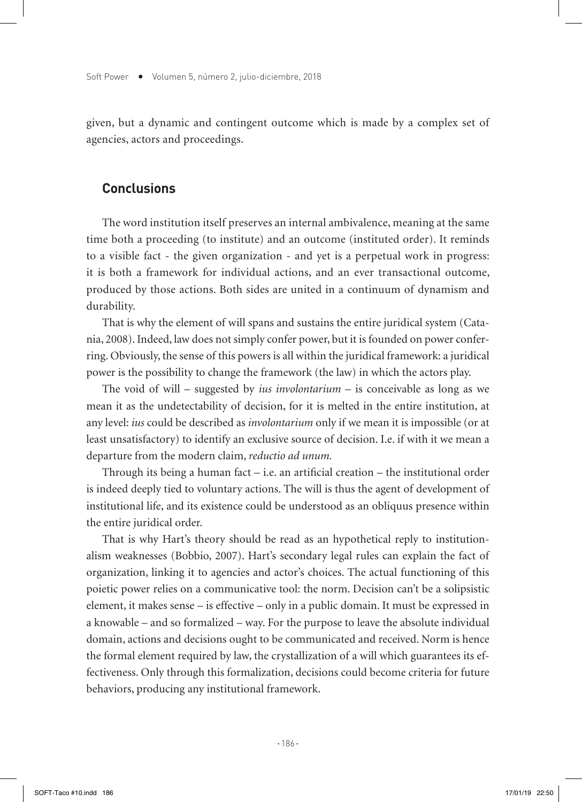given, but a dynamic and contingent outcome which is made by a complex set of agencies, actors and proceedings.

#### **Conclusions**

The word institution itself preserves an internal ambivalence, meaning at the same time both a proceeding (to institute) and an outcome (instituted order). It reminds to a visible fact - the given organization - and yet is a perpetual work in progress: it is both a framework for individual actions, and an ever transactional outcome, produced by those actions. Both sides are united in a continuum of dynamism and durability.

That is why the element of will spans and sustains the entire juridical system (Catania, 2008). Indeed, law does not simply confer power, but it is founded on power conferring. Obviously, the sense of this powers is all within the juridical framework: a juridical power is the possibility to change the framework (the law) in which the actors play.

The void of will – suggested by *ius involontarium* – is conceivable as long as we mean it as the undetectability of decision, for it is melted in the entire institution, at any level: *ius* could be described as *involontarium* only if we mean it is impossible (or at least unsatisfactory) to identify an exclusive source of decision. I.e. if with it we mean a departure from the modern claim, *reductio ad unum.* 

Through its being a human fact  $-$  i.e. an artificial creation  $-$  the institutional order is indeed deeply tied to voluntary actions. The will is thus the agent of development of institutional life, and its existence could be understood as an obliquus presence within the entire juridical order.

That is why Hart's theory should be read as an hypothetical reply to institutionalism weaknesses (Bobbio, 2007). Hart's secondary legal rules can explain the fact of organization, linking it to agencies and actor's choices. The actual functioning of this poietic power relies on a communicative tool: the norm. Decision can't be a solipsistic element, it makes sense – is effective – only in a public domain. It must be expressed in a knowable – and so formalized – way. For the purpose to leave the absolute individual domain, actions and decisions ought to be communicated and received. Norm is hence the formal element required by law, the crystallization of a will which guarantees its effectiveness. Only through this formalization, decisions could become criteria for future behaviors, producing any institutional framework.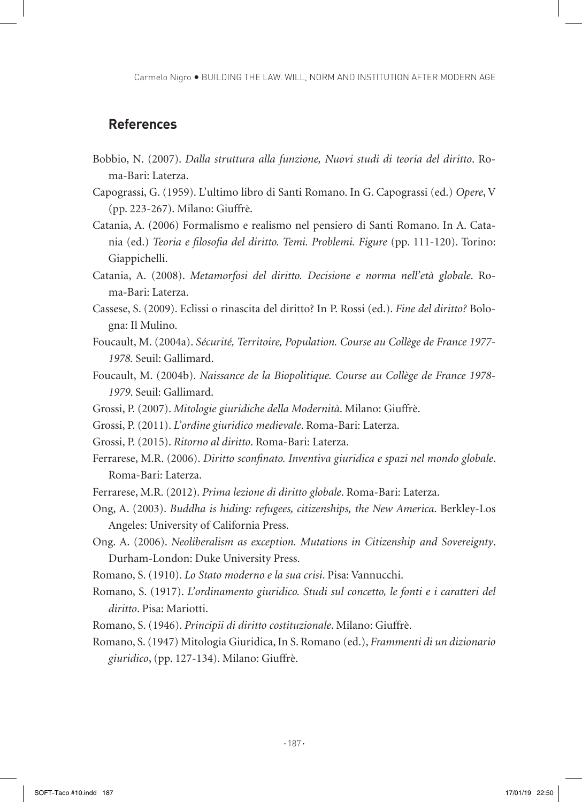Carmelo Nigro BUILDING THE LAW. WILL, NORM AND INSTITUTION AFTER MODERN AGE

## **References**

- Bobbio, N. (2007). *Dalla struttura alla funzione, Nuovi studi di teoria del diritto*. Roma-Bari: Laterza.
- Capograssi, G. (1959). L'ultimo libro di Santi Romano. In G. Capograssi (ed.) *Opere*, V (pp. 223-267). Milano: Giuffrè.
- Catania, A. (2006) Formalismo e realismo nel pensiero di Santi Romano. In A. Catania (ed.) *Teoria e filosofia del diritto. Temi. Problemi. Figure* (pp. 111-120). Torino: Giappichelli.
- Catania, A. (2008). *Metamorfosi del diritto. Decisione e norma nell'età globale*. Roma-Bari: Laterza.
- Cassese, S. (2009). Eclissi o rinascita del diritto? In P. Rossi (ed.). *Fine del diritto?* Bologna: Il Mulino.
- Foucault, M. (2004a). *Sécurité, Territoire, Population. Course au Collège de France 1977- 1978.* Seuil: Gallimard.
- Foucault, M. (2004b). *Naissance de la Biopolitique. Course au Collège de France 1978- 1979*. Seuil: Gallimard.
- Grossi, P. (2007). *Mitologie giuridiche della Modernità*. Milano: Giuffrè.
- Grossi, P. (2011). *L'ordine giuridico medievale*. Roma-Bari: Laterza.
- Grossi, P. (2015). *Ritorno al diritto*. Roma-Bari: Laterza.
- Ferrarese, M.R. (2006). *Diritto sconfinato. Inventiva giuridica e spazi nel mondo globale*. Roma-Bari: Laterza.
- Ferrarese, M.R. (2012). *Prima lezione di diritto globale*. Roma-Bari: Laterza.
- Ong, A. (2003). *Buddha is hiding: refugees, citizenships, the New America*. Berkley-Los Angeles: University of California Press.
- Ong. A. (2006). *Neoliberalism as exception. Mutations in Citizenship and Sovereignty*. Durham-London: Duke University Press.
- Romano, S. (1910). *Lo Stato moderno e la sua crisi*. Pisa: Vannucchi.
- Romano, S. (1917). *L'ordinamento giuridico. Studi sul concetto, le fonti e i caratteri del diritto*. Pisa: Mariotti.
- Romano, S. (1946). *Principii di diritto costituzionale*. Milano: Giuffrè.
- Romano, S. (1947) Mitologia Giuridica, In S. Romano (ed.), *Frammenti di un dizionario giuridico*, (pp. 127-134). Milano: Giuffrè.